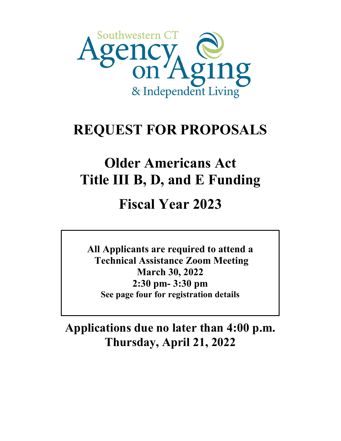

# **REQUEST FOR PROPOSALS**

# **Older Americans Act Title III B, D, and E Funding**

# **Fiscal Year 2023**

**All Applicants are required to attend a Technical Assistance Zoom Meeting March 30, 2022 2:30 pm- 3:30 pm See page four for registration details**

**Applications due no later than 4:00 p.m. Thursday, April 21, 2022**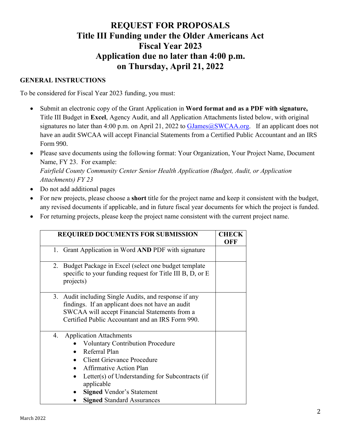# **REQUEST FOR PROPOSALS Title III Funding under the Older Americans Act Fiscal Year 2023 Application due no later than 4:00 p.m. on Thursday, April 21, 2022**

#### **GENERAL INSTRUCTIONS**

To be considered for Fiscal Year 2023 funding, you must:

- Submit an electronic copy of the Grant Application in **Word format and as a PDF with signature,**  Title III Budget in **Excel**, Agency Audit, and all Application Attachments listed below, with original signatures no later than 4:00 p.m. on April 21, 2022 to  $\text{GJames@SWCAA.org}$ . If an applicant does not have an audit SWCAA will accept Financial Statements from a Certified Public Accountant and an IRS Form 990.
- Please save documents using the following format: Your Organization, Your Project Name, Document Name, FY 23. For example: *Fairfield County Community Center Senior Health Application (Budget, Audit, or Application Attachments) FY 23*
- Do not add additional pages
- For new projects, please choose a **short** title for the project name and keep it consistent with the budget, any revised documents if applicable, and in future fiscal year documents for which the project is funded.
- For returning projects, please keep the project name consistent with the current project name.

| <b>REQUIRED DOCUMENTS FOR SUBMISSION</b>                                                                                                                                                                                                                                                                          | CHECK<br>OFF |
|-------------------------------------------------------------------------------------------------------------------------------------------------------------------------------------------------------------------------------------------------------------------------------------------------------------------|--------------|
| 1. Grant Application in Word AND PDF with signature                                                                                                                                                                                                                                                               |              |
| Budget Package in Excel (select one budget template<br>2.<br>specific to your funding request for Title III B, D, or $E$<br>projects)                                                                                                                                                                             |              |
| 3. Audit including Single Audits, and response if any<br>findings. If an applicant does not have an audit<br>SWCAA will accept Financial Statements from a<br>Certified Public Accountant and an IRS Form 990.                                                                                                    |              |
| <b>Application Attachments</b><br>4.<br><b>Voluntary Contribution Procedure</b><br>Referral Plan<br><b>Client Grievance Procedure</b><br><b>Affirmative Action Plan</b><br>Letter(s) of Understanding for Subcontracts (if<br>applicable<br><b>Signed Vendor's Statement</b><br><b>Signed Standard Assurances</b> |              |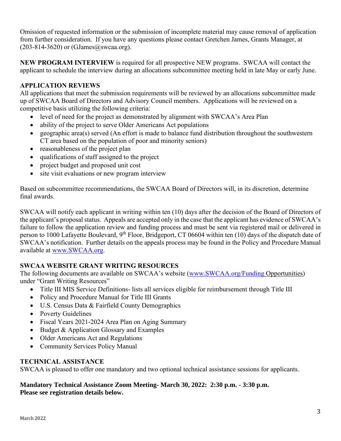Omission of requested information or the submission of incomplete material may cause removal of application from further consideration. If you have any questions please contact Gretchen James, Grants Manager, at  $(203-814-3620)$  or  $(GJames@swca.org)$ .

**NEW PROGRAM INTERVIEW** is required for all prospective NEW programs. SWCAA will contact the applicant to schedule the interview during an allocations subcommittee meeting held in late May or early June.

### **APPLICATION REVIEWS**

All applications that meet the submission requirements will be reviewed by an allocations subcommittee made up of SWCAA Board of Directors and Advisory Council members. Applications will be reviewed on a competitive basis utilizing the following criteria:

- level of need for the project as demonstrated by alignment with SWCAA's Area Plan
- ability of the project to serve Older Americans Act populations
- geographic area(s) served (An effort is made to balance fund distribution throughout the southwestern CT area based on the population of poor and minority seniors)
- reasonableness of the project plan
- qualifications of staff assigned to the project
- project budget and proposed unit cost
- site visit evaluations or new program interview

Based on subcommittee recommendations, the SWCAA Board of Directors will, in its discretion, determine final awards.

SWCAA will notify each applicant in writing within ten (10) days after the decision of the Board of Directors of the applicant's proposal status. Appeals are accepted only in the case that the applicant has evidence of SWCAA's failure to follow the application review and funding process and must be sent via registered mail or delivered in person to 1000 Lafayette Boulevard, 9<sup>th</sup> Floor, Bridgeport, CT 06604 within ten (10) days of the dispatch date of SWCAA's notification. Further details on the appeals process may be found in the Policy and Procedure Manual available at [www.SWCAA.org.](http://www.swcaa.org/)

# **SWCAA WEBSITE GRANT WRITING RESOURCES**

The following documents are available on SWCAA's website ([www.SWCAA.org/Funding](http://www.swcaa.org/Funding) Opportunities) under "Grant Writing Resources"

- Title III MIS Service Definitions- lists all services eligible for reimbursement through Title III
- Policy and Procedure Manual for Title III Grants
- U.S. Census Data & Fairfield County Demographics
- Poverty Guidelines
- Fiscal Years 2021-2024 Area Plan on Aging Summary
- Budget & Application Glossary and Examples
- Older Americans Act and Regulations
- Community Services Policy Manual

#### **TECHNICAL ASSISTANCE**

SWCAA is pleased to offer one mandatory and two optional technical assistance sessions for applicants.

#### **Mandatory Technical Assistance Zoom Meeting- March 30, 2022: 2:30 p.m. - 3:30 p.m. Please see registration details below.**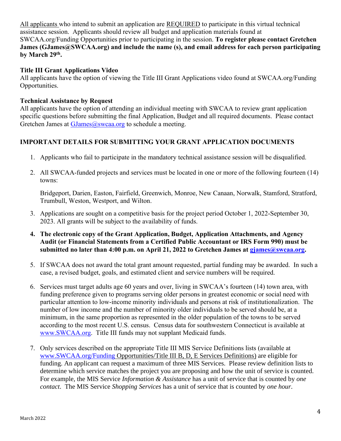All applicants who intend to submit an application are REQUIRED to participate in this virtual technical assistance session. Applicants should review all budget and application materials found at SWCAA.org/Funding Opportunities prior to participating in the session. **To register please contact Gretchen James (GJames@SWCAA.org) and include the name (s), and email address for each person participating by March 29 th .** 

#### **Title III Grant Applications Video**

All applicants have the option of viewing the Title III Grant Applications video found at SWCAA.org/Funding Opportunities.

#### **Technical Assistance by Request**

All applicants have the option of attending an individual meeting with SWCAA to review grant application specific questions before submitting the final Application, Budget and all required documents. Please contact Gretchen James at  $GIames@swca.org$  to schedule a meeting.

### **IMPORTANT DETAILS FOR SUBMITTING YOUR GRANT APPLICATION DOCUMENTS**

- 1. Applicants who fail to participate in the mandatory technical assistance session will be disqualified.
- 2. All SWCAA-funded projects and services must be located in one or more of the following fourteen (14) towns:

Bridgeport, Darien, Easton, Fairfield, Greenwich, Monroe, New Canaan, Norwalk, Stamford, Stratford, Trumbull, Weston, Westport, and Wilton.

- 3. Applications are sought on a competitive basis for the project period October 1, 2022-September 30, 2023. All grants will be subject to the availability of funds.
- **4. The electronic copy of the Grant Application, Budget, Application Attachments, and Agency Audit (or Financial Statements from a Certified Public Accountant or IRS Form 990) must be submitted no later than 4:00 p.m. on April 21, 2022 to Gretchen James at [gjames@swcaa.org.](mailto:gjames@swcaa.org)**
- 5. If SWCAA does not award the total grant amount requested, partial funding may be awarded. In such a case, a revised budget, goals, and estimated client and service numbers will be required.
- 6. Services must target adults age 60 years and over, living in SWCAA's fourteen (14) town area, with funding preference given to programs serving older persons in greatest economic or social need with particular attention to low-income minority individuals and persons at risk of institutionalization. The number of low income and the number of minority older individuals to be served should be, at a minimum, in the same proportion as represented in the older population of the towns to be served according to the most recent U.S. census. Census data for southwestern Connecticut is available at [www.SWCAA.org.](http://www.swcaa.org/) Title III funds may not supplant Medicaid funds.
- 7. Only services described on the appropriate Title III MIS Service Definitions lists (available at [www.SWCAA.org/Funding](http://www.swcaa.org/Funding) Opportunities/Title III B, D, E Services Definitions) are eligible for funding. An applicant can request a maximum of three MIS Services. Please review definition lists to determine which service matches the project you are proposing and how the unit of service is counted. For example, the MIS Service *Information & Assistance* has a unit of service that is counted by *one contact*. The MIS Service *Shopping Services* has a unit of service that is counted by *one hour*.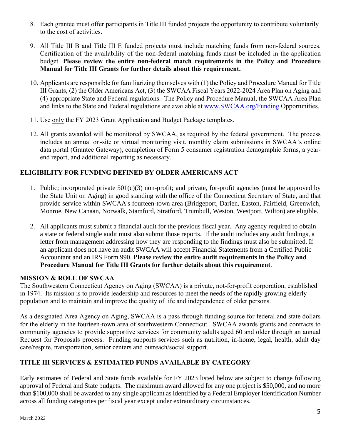- 8. Each grantee must offer participants in Title III funded projects the opportunity to contribute voluntarily to the cost of activities.
- 9. All Title III B and Title III E funded projects must include matching funds from non-federal sources. Certification of the availability of the non-federal matching funds must be included in the application budget. **Please review the entire non-federal match requirements in the Policy and Procedure Manual for Title III Grants for further details about this requirement.**
- 10. Applicants are responsible for familiarizing themselves with (1) the Policy and Procedure Manual for Title III Grants, (2) the Older Americans Act, (3) the SWCAA Fiscal Years 2022-2024 Area Plan on Aging and (4) appropriate State and Federal regulations. The Policy and Procedure Manual, the SWCAA Area Plan and links to the State and Federal regulations are available at [www.SWCAA.org/Funding](http://www.swcaa.org/Funding) Opportunities.
- 11. Use only the FY 2023 Grant Application and Budget Package templates.
- 12. All grants awarded will be monitored by SWCAA, as required by the federal government. The process includes an annual on-site or virtual monitoring visit, monthly claim submissions in SWCAA's online data portal (Grantee Gateway), completion of Form 5 consumer registration demographic forms, a yearend report, and additional reporting as necessary.

# **ELIGIBILITY FOR FUNDING DEFINED BY OLDER AMERICANS ACT**

- 1. Public; incorporated private 501(c)(3) non-profit; and private, for-profit agencies (must be approved by the State Unit on Aging) in good standing with the office of the Connecticut Secretary of State, and that provide service within SWCAA's fourteen-town area (Bridgeport, Darien, Easton, Fairfield, Greenwich, Monroe, New Canaan, Norwalk, Stamford, Stratford, Trumbull, Weston, Westport, Wilton) are eligible.
- 2. All applicants must submit a financial audit for the previous fiscal year. Any agency required to obtain a state or federal single audit must also submit those reports. If the audit includes any audit findings, a letter from management addressing how they are responding to the findings must also be submitted. If an applicant does not have an audit SWCAA will accept Financial Statements from a Certified Public Accountant and an IRS Form 990. **Please review the entire audit requirements in the Policy and Procedure Manual for Title III Grants for further details about this requirement**.

# **MISSION & ROLE OF SWCAA**

The Southwestern Connecticut Agency on Aging (SWCAA) is a private, not-for-profit corporation, established in 1974. Its mission is to provide leadership and resources to meet the needs of the rapidly growing elderly population and to maintain and improve the quality of life and independence of older persons.

As a designated Area Agency on Aging, SWCAA is a pass-through funding source for federal and state dollars for the elderly in the fourteen-town area of southwestern Connecticut. SWCAA awards grants and contracts to community agencies to provide supportive services for community adults aged 60 and older through an annual Request for Proposals process. Funding supports services such as nutrition, in-home, legal, health, adult day care/respite, transportation, senior centers and outreach/social support.

# **TITLE III SERVICES & ESTIMATED FUNDS AVAILABLE BY CATEGORY**

Early estimates of Federal and State funds available for FY 2023 listed below are subject to change following approval of Federal and State budgets. The maximum award allowed for any one project is \$50,000, and no more than \$100,000 shall be awarded to any single applicant as identified by a Federal Employer Identification Number across all funding categories per fiscal year except under extraordinary circumstances.